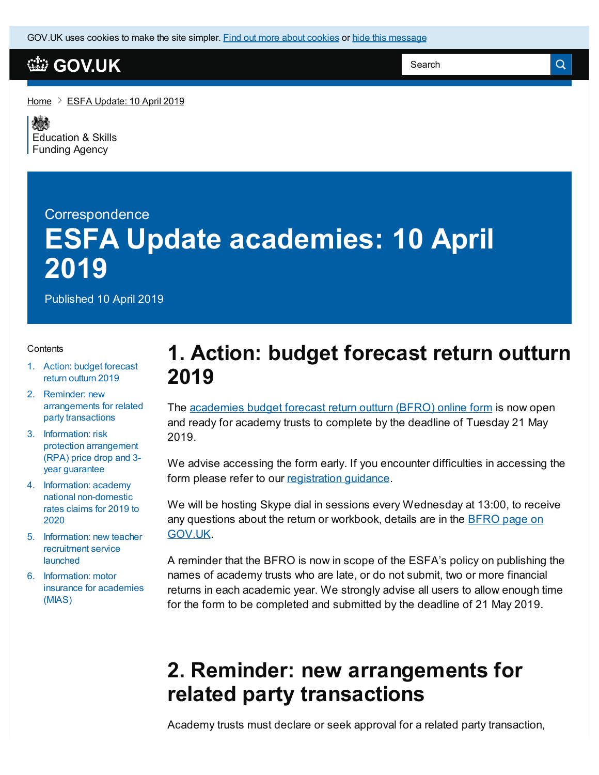GOV.UK uses [cookies](https://www.gov.uk/help/cookies) to make the site simpler. Find out more about cookies or hide this [message](#page-2-0)

#### **[GOV.UK](https://www.gov.uk)**

[Home](https://www.gov.uk/)  $\geq$  ESFA [Update:](https://www.gov.uk/government/publications/esfa-update-10-april-2019) 10 April 2019

嫁 [Education](https://www.gov.uk/government/organisations/education-and-skills-funding-agency) & Skills Funding Agency

# **Correspondence ESFA Update academies: 10 April 2019**

Published 10 April 2019

#### **Contents**

- 1. Action: budget [forecast](#page-2-0) return outturn 2019
- 2. Reminder: new [arrangements](#page-2-0) for related party transactions
- 3. Information: risk protection [arrangement](#page-2-0) (RPA) price drop and 3 year guarantee
- 4. Information: academy national [non-domestic](#page-2-0) rates claims for 2019 to 2020
- 5. [Information:](#page-2-0) new teacher recruitment service launched
- 6. [Information:](#page-2-0) motor insurance for academies (MIAS)

#### **1. Action: budget forecast return outturn 2019**

The [academies](https://www.gov.uk/guidance/academies-budget-forecast-return?utm_source=Form is live update item (10%2F04%2F2019)) budget forecast return outturn (BFRO) online form is now open and ready for academy trusts to complete by the deadline of Tuesday 21 May 2019.

We advise accessing the form early. If you encounter difficulties in accessing the form please refer to our [registration](https://www.gov.uk/government/publications/how-to-register-for-an-idams-account?utm_source=Register guidance (10%2F04%2F2019)) guidance.

We will be hosting Skype dial in sessions every Wednesday at 13:00, to receive any questions about the return or [workbook,](https://www.gov.uk/guidance/academies-budget-forecast-return?utm_source=Form is live update item (10%2F04%2F2019)) details are in the BFRO page on GOV.UK.

A reminder that the BFRO is now in scope of the ESFA's policy on publishing the names of academy trusts who are late, or do not submit, two or more financial returns in each academic year. We strongly advise all users to allow enough time for the form to be completed and submitted by the deadline of 21 May 2019.

## **2. Reminder: new arrangements for related party transactions**

Academy trusts must declare or seek approval for a related party transaction,

Search

 $\alpha$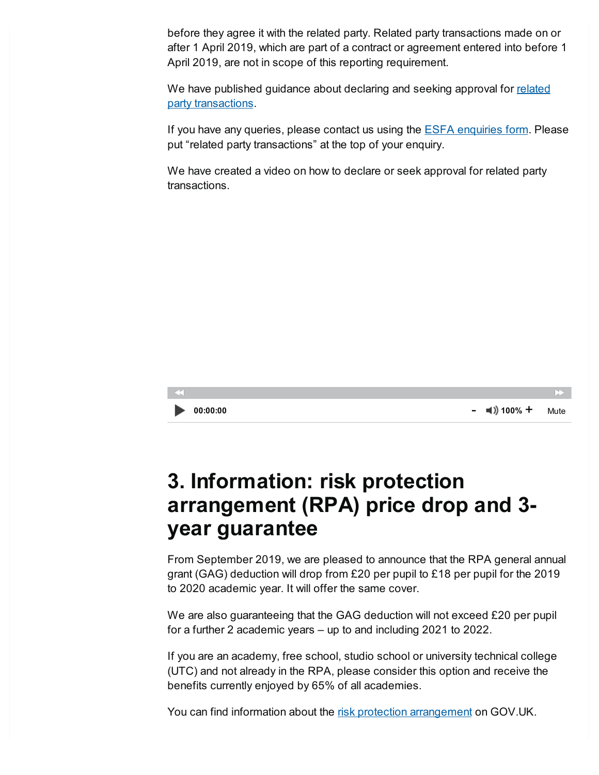before they agree it with the related party. Related party transactions made on or after 1 April 2019, which are part of a contract or agreement entered into before 1 April 2019, are not in scope of this reporting requirement.

We have published guidance about declaring and seeking approval for related party [transactions.](https://www.gov.uk/government/publications/related-party-transactions-information-for-academy-trusts)

If you have any queries, please contact us using the **ESFA [enquiries](https://form.education.gov.uk/en/AchieveForms/?form_uri=sandbox-publish://AF-Process-f9f4f5a1-936f-448b-bbeb-9dcdd595f468/AF-Stage-8aa41278-3cdd-45a3-ad87-80cbffb8b992/definition.json&redirectlink=%2Fen&cancelRedirectLink=%2Fen) form.** Please put "related party transactions" at the top of your enquiry.

We have created a video on how to declare or seek approval for related party transactions.



## **3. Information: risk protection arrangement (RPA) price drop and 3 year guarantee**

From September 2019, we are pleased to announce that the RPA general annual grant (GAG) deduction will drop from £20 per pupil to £18 per pupil for the 2019 to 2020 academic year. It will offer the same cover.

We are also guaranteeing that the GAG deduction will not exceed £20 per pupil for a further 2 academic years – up to and including 2021 to 2022.

If you are an academy, free school, studio school or university technical college (UTC) and not already in the RPA, please consider this option and receive the benefits currently enjoyed by 65% of all academies.

You can find information about the risk protection [arrangement](https://www.gov.uk/guidance/academies-risk-protection-arrangement-rpa?utm_source=ESFA update 10 April 2019) on GOV.UK.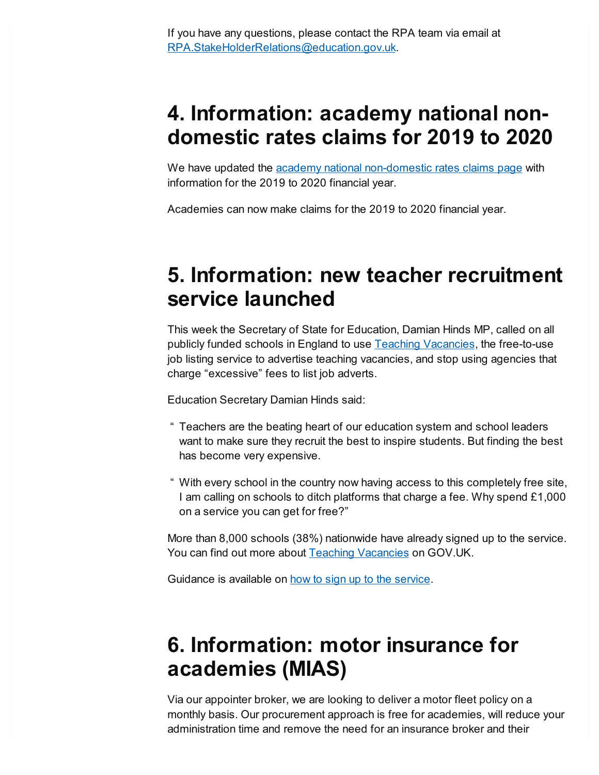### <span id="page-2-0"></span>**4. Information: academy national nondomestic rates claims for 2019 to 2020**

We have updated the **academy** national [non-domestic](https://www.gov.uk/guidance/academies-funding-claims) rates claims page with information for the 2019 to 2020 financial year.

Academies can now make claims for the 2019 to 2020 financial year.

### **5. Information: new teacher recruitment service launched**

This week the Secretary of State for Education, Damian Hinds MP, called on all publicly funded schools in England to use Teaching [Vacancies](https://teaching-vacancies.service.gov.uk/), the free-to-use job listing service to advertise teaching vacancies, and stop using agencies that charge "excessive" fees to list job adverts.

Education Secretary Damian Hinds said:

- " Teachers are the beating heart of our education system and school leaders want to make sure they recruit the best to inspire students. But finding the best has become very expensive.
- " With every school in the country now having access to this completely free site, I am calling on schools to ditch platforms that charge a fee. Why spend £1,000 on a service you can get for free?"

More than 8,000 schools (38%) nationwide have already signed up to the service. You can find out more about **Teaching [Vacancies](https://www.gov.uk/government/news/new-teacher-recruitment-service-set-to-save-schools-millions)** on GOV.UK.

Guidance is available on how to sign up to the [service](https://www.gov.uk/guidance/list-a-teaching-job-at-your-school-on-teaching-vacancies).

# **6. Information: motor insurance for academies (MIAS)**

Via our appointer broker, we are looking to deliver a motor fleet policy on a monthly basis. Our procurement approach is free for academies, will reduce your administration time and remove the need for an insurance broker and their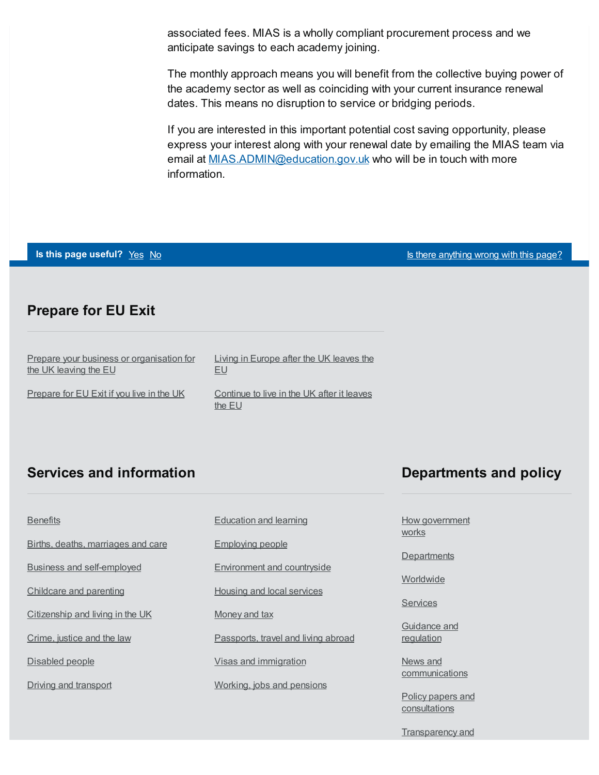associated fees. MIAS is a wholly compliant procurement process and we anticipate savings to each academy joining.

The monthly approach means you will benefit from the collective buying power of the academy sector as well as coinciding with your current insurance renewal dates. This means no disruption to service or bridging periods.

If you are interested in this important potential cost saving opportunity, please express your interest along with your renewal date by emailing the MIAS team via email at [MIAS.ADMIN@education.gov.uk](mailto:MIAS.ADMIN@education.gov.uk) who will be in touch with more information.

| Is this page useful? Yes No |  |  |
|-----------------------------|--|--|
|-----------------------------|--|--|

**Is there [anything](https://www.gov.uk/contact/govuk) wrong with this page?** 

#### **Prepare for EU Exit**

| Prepare your business or organisation for | Living in Europe after the UK leaves the             |
|-------------------------------------------|------------------------------------------------------|
| the UK leaving the EU                     | EU                                                   |
| Prepare for EU Exit if you live in the UK | Continue to live in the UK after it leaves<br>the EU |

#### **Services and information**

#### **Departments and policy**

| <b>Benefits</b>                    | <b>Education and learning</b>       |
|------------------------------------|-------------------------------------|
| Births, deaths, marriages and care | <b>Employing people</b>             |
| <b>Business and self-employed</b>  | <b>Environment and countryside</b>  |
| Childcare and parenting            | <b>Housing and local services</b>   |
| Citizenship and living in the UK   | Money and tax                       |
| Crime, justice and the law         | Passports, travel and living abroad |
| Disabled people                    | Visas and immigration               |
| Driving and transport              | Working, jobs and pensions          |

#### How [government](https://www.gov.uk/government/how-government-works) works

**[Departments](https://www.gov.uk/government/organisations)** 

**[Worldwide](https://www.gov.uk/world)** 

**[Services](https://www.gov.uk/search/services)** 

[Guidance](https://www.gov.uk/search/guidance-and-regulation) and regulation

News and **[communications](https://www.gov.uk/search/news-and-communications)** 

Policy papers and **[consultations](https://www.gov.uk/search/policy-papers-and-consultations)** 

[Transparency](https://www.gov.uk/search/transparency-and-freedom-of-information-releases) and